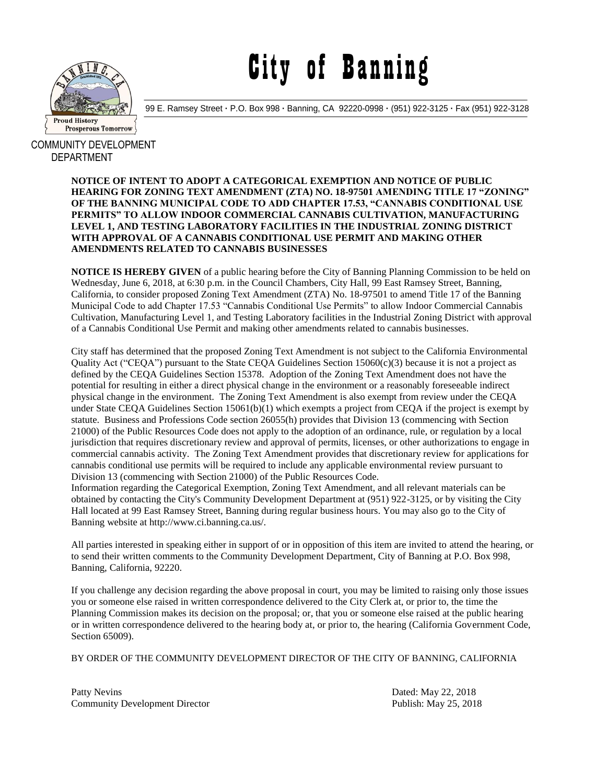

City of Banning

99 E. Ramsey Street **·** P.O. Box 998 **·** Banning, CA 92220-0998 **·** (951) 922-3125 **·** Fax (951) 922-3128

COMMUNITY DEVELOPMENT DEPARTMENT

> **NOTICE OF INTENT TO ADOPT A CATEGORICAL EXEMPTION AND NOTICE OF PUBLIC HEARING FOR ZONING TEXT AMENDMENT (ZTA) NO. 18-97501 AMENDING TITLE 17 "ZONING" OF THE BANNING MUNICIPAL CODE TO ADD CHAPTER 17.53, "CANNABIS CONDITIONAL USE PERMITS" TO ALLOW INDOOR COMMERCIAL CANNABIS CULTIVATION, MANUFACTURING LEVEL 1, AND TESTING LABORATORY FACILITIES IN THE INDUSTRIAL ZONING DISTRICT WITH APPROVAL OF A CANNABIS CONDITIONAL USE PERMIT AND MAKING OTHER AMENDMENTS RELATED TO CANNABIS BUSINESSES**

> **NOTICE IS HEREBY GIVEN** of a public hearing before the City of Banning Planning Commission to be held on Wednesday, June 6, 2018, at 6:30 p.m. in the Council Chambers, City Hall, 99 East Ramsey Street, Banning, California, to consider proposed Zoning Text Amendment (ZTA) No. 18-97501 to amend Title 17 of the Banning Municipal Code to add Chapter 17.53 "Cannabis Conditional Use Permits" to allow Indoor Commercial Cannabis Cultivation, Manufacturing Level 1, and Testing Laboratory facilities in the Industrial Zoning District with approval of a Cannabis Conditional Use Permit and making other amendments related to cannabis businesses.

> City staff has determined that the proposed Zoning Text Amendment is not subject to the California Environmental Quality Act ("CEQA") pursuant to the State CEQA Guidelines Section 15060(c)(3) because it is not a project as defined by the CEQA Guidelines Section 15378. Adoption of the Zoning Text Amendment does not have the potential for resulting in either a direct physical change in the environment or a reasonably foreseeable indirect physical change in the environment. The Zoning Text Amendment is also exempt from review under the CEQA under State CEQA Guidelines Section 15061(b)(1) which exempts a project from CEQA if the project is exempt by statute. Business and Professions Code section 26055(h) provides that Division 13 (commencing with Section 21000) of the Public Resources Code does not apply to the adoption of an ordinance, rule, or regulation by a local jurisdiction that requires discretionary review and approval of permits, licenses, or other authorizations to engage in commercial cannabis activity. The Zoning Text Amendment provides that discretionary review for applications for cannabis conditional use permits will be required to include any applicable environmental review pursuant to Division 13 (commencing with Section 21000) of the Public Resources Code.

Information regarding the Categorical Exemption, Zoning Text Amendment, and all relevant materials can be obtained by contacting the City's Community Development Department at (951) 922-3125, or by visiting the City Hall located at 99 East Ramsey Street, Banning during regular business hours. You may also go to the City of Banning website at http://www.ci.banning.ca.us/.

All parties interested in speaking either in support of or in opposition of this item are invited to attend the hearing, or to send their written comments to the Community Development Department, City of Banning at P.O. Box 998, Banning, California, 92220.

If you challenge any decision regarding the above proposal in court, you may be limited to raising only those issues you or someone else raised in written correspondence delivered to the City Clerk at, or prior to, the time the Planning Commission makes its decision on the proposal; or, that you or someone else raised at the public hearing or in written correspondence delivered to the hearing body at, or prior to, the hearing (California Government Code, Section 65009).

BY ORDER OF THE COMMUNITY DEVELOPMENT DIRECTOR OF THE CITY OF BANNING, CALIFORNIA

Patty Nevins Dated: May 22, 2018 Community Development Director **Publish:** May 25, 2018